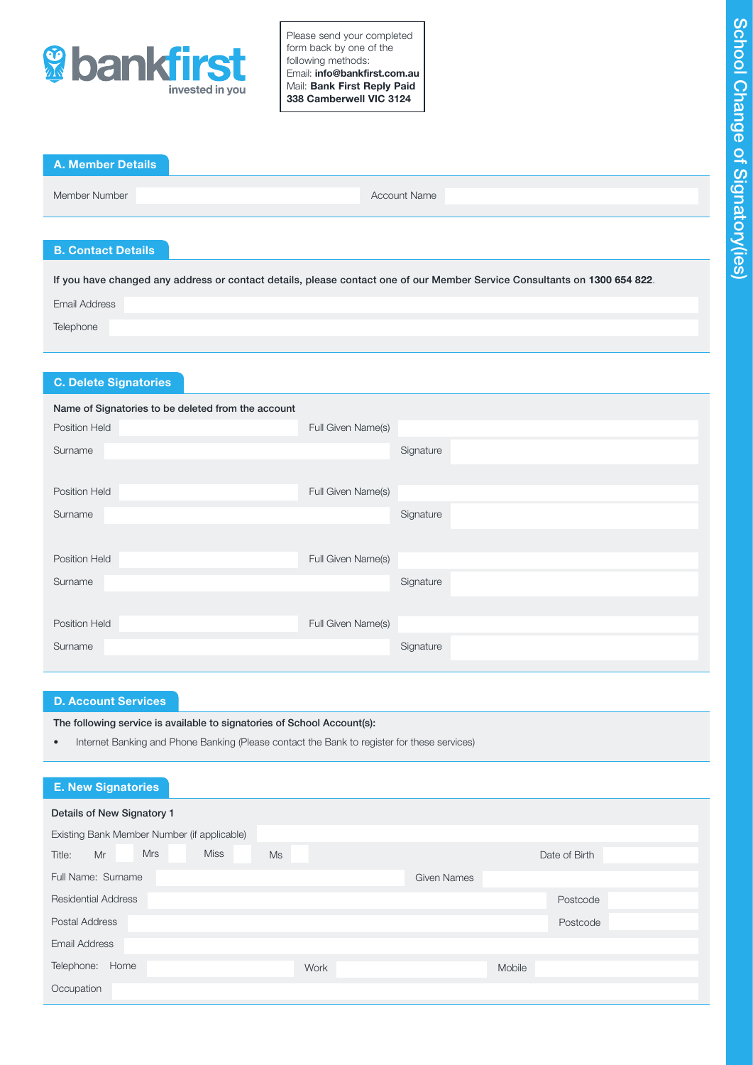

Please send your completed form back by one of the following methods: Email: info@bankfirst.com.au Mail: Bank First Reply Paid 338 Camberwell VIC 3124

| <b>A. Member Details</b> |                     |  |
|--------------------------|---------------------|--|
| Member Number            | <b>Account Name</b> |  |

# B. Contact Details

If you have changed any address or contact details, please contact one of our Member Service Consultants on 1300 654 822. Email Address **Telephone** 

# C. Delete Signatories

| Name of Signatories to be deleted from the account |                    |           |
|----------------------------------------------------|--------------------|-----------|
| <b>Position Held</b>                               | Full Given Name(s) |           |
| Surname                                            |                    | Signature |
|                                                    |                    |           |
| <b>Position Held</b>                               | Full Given Name(s) |           |
| Surname                                            |                    | Signature |
|                                                    |                    |           |
| <b>Position Held</b>                               | Full Given Name(s) |           |
| Surname                                            |                    | Signature |
|                                                    |                    |           |
| <b>Position Held</b>                               | Full Given Name(s) |           |
| Surname                                            |                    | Signature |
|                                                    |                    |           |

# D. Account Services

The following service is available to signatories of School Account(s):

• Internet Banking and Phone Banking (Please contact the Bank to register for these services)

| <b>E. New Signatories</b>                       |                    |  |  |  |  |  |
|-------------------------------------------------|--------------------|--|--|--|--|--|
| Details of New Signatory 1                      |                    |  |  |  |  |  |
| Existing Bank Member Number (if applicable)     |                    |  |  |  |  |  |
| <b>Miss</b><br><b>Mrs</b><br>Mr<br>Ms<br>Title: | Date of Birth      |  |  |  |  |  |
| Full Name: Surname                              | <b>Given Names</b> |  |  |  |  |  |
| <b>Residential Address</b>                      | Postcode           |  |  |  |  |  |
| <b>Postal Address</b>                           | Postcode           |  |  |  |  |  |
| <b>Email Address</b>                            |                    |  |  |  |  |  |
| Telephone:<br>Home<br>Work                      | Mobile             |  |  |  |  |  |
| Occupation                                      |                    |  |  |  |  |  |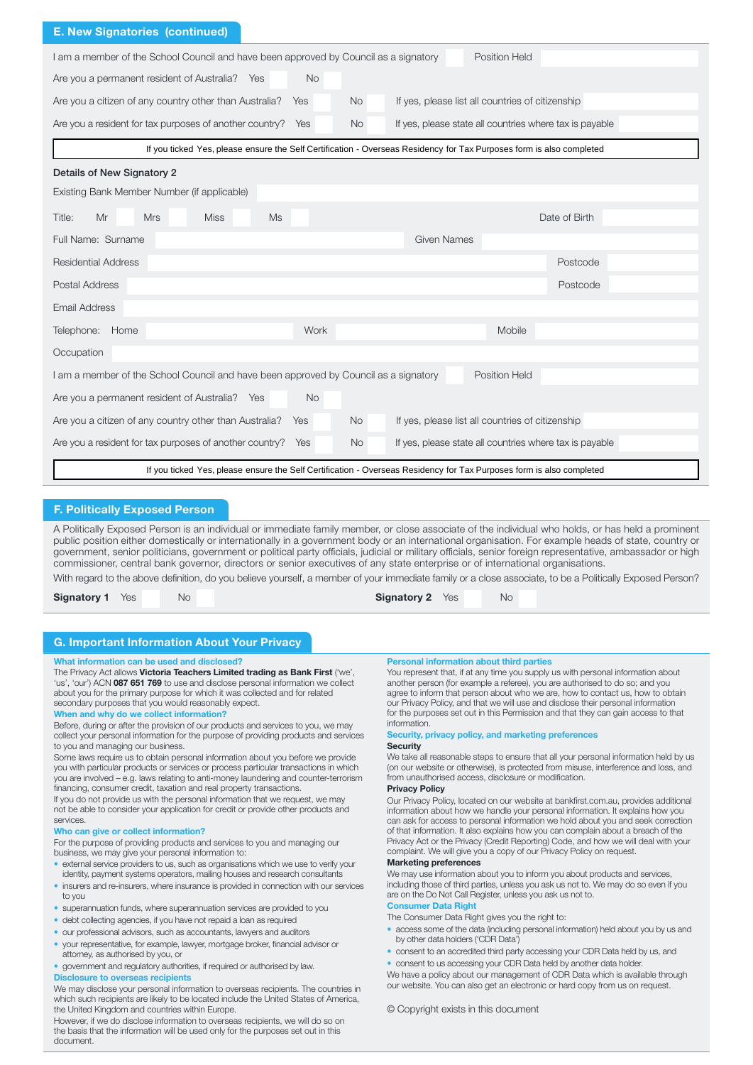| <b>E. New Signatories (continued)</b>                                                                                          |                                                                                                                      |  |  |  |  |  |
|--------------------------------------------------------------------------------------------------------------------------------|----------------------------------------------------------------------------------------------------------------------|--|--|--|--|--|
| I am a member of the School Council and have been approved by Council as a signatory<br><b>Position Held</b>                   |                                                                                                                      |  |  |  |  |  |
| Are you a permanent resident of Australia? Yes<br><b>No</b>                                                                    |                                                                                                                      |  |  |  |  |  |
| Are you a citizen of any country other than Australia?<br><b>No</b><br>Yes                                                     | If yes, please list all countries of citizenship                                                                     |  |  |  |  |  |
| Are you a resident for tax purposes of another country?<br>Yes<br><b>No</b>                                                    | If yes, please state all countries where tax is payable                                                              |  |  |  |  |  |
|                                                                                                                                | If you ticked Yes, please ensure the Self Certification - Overseas Residency for Tax Purposes form is also completed |  |  |  |  |  |
| Details of New Signatory 2                                                                                                     |                                                                                                                      |  |  |  |  |  |
| Existing Bank Member Number (if applicable)                                                                                    |                                                                                                                      |  |  |  |  |  |
| Mr<br><b>Mrs</b><br><b>Miss</b><br><b>Ms</b><br>Title:                                                                         | Date of Birth                                                                                                        |  |  |  |  |  |
| Full Name: Surname                                                                                                             | <b>Given Names</b>                                                                                                   |  |  |  |  |  |
| <b>Residential Address</b>                                                                                                     | Postcode                                                                                                             |  |  |  |  |  |
| <b>Postal Address</b>                                                                                                          | Postcode                                                                                                             |  |  |  |  |  |
| <b>Email Address</b>                                                                                                           |                                                                                                                      |  |  |  |  |  |
| Telephone: Home<br>Work                                                                                                        | Mobile                                                                                                               |  |  |  |  |  |
| Occupation                                                                                                                     |                                                                                                                      |  |  |  |  |  |
| I am a member of the School Council and have been approved by Council as a signatory                                           | Position Held                                                                                                        |  |  |  |  |  |
| Are you a permanent resident of Australia? Yes<br><b>No</b>                                                                    |                                                                                                                      |  |  |  |  |  |
| Are you a citizen of any country other than Australia?<br>If yes, please list all countries of citizenship<br><b>No</b><br>Yes |                                                                                                                      |  |  |  |  |  |
| Are you a resident for tax purposes of another country?<br><b>No</b><br>Yes                                                    | If yes, please state all countries where tax is payable                                                              |  |  |  |  |  |
| If you ticked Yes, please ensure the Self Certification - Overseas Residency for Tax Purposes form is also completed           |                                                                                                                      |  |  |  |  |  |

### F. Politically Exposed Person

A Politically Exposed Person is an individual or immediate family member, or close associate of the individual who holds, or has held a prominent public position either domestically or internationally in a government body or an international organisation. For example heads of state, country or government, senior politicians, government or political party officials, judicial or military officials, senior foreign representative, ambassador or high commissioner, central bank governor, directors or senior executives of any state enterprise or of international organisations.

With regard to the above definition, do you believe yourself, a member of your immediate family or a close associate, to be a Politically Exposed Person?

Signatory 1 Yes No No Signatory 2 Yes No

# G. Important Information About Your Privacy

#### What information can be used and disclosed?

#### The Privacy Act allows Victoria Teachers Limited trading as Bank First ('we', 'us', 'our') ACN 087 651 769 to use and disclose personal information we collect about you for the primary purpose for which it was collected and for related secondary purposes that you would reasonably expect.

#### When and why do we collect information?

Before, during or after the provision of our products and services to you, we may collect your personal information for the purpose of providing products and services to you and managing our business.

Some laws require us to obtain personal information about you before we provide you with particular products or services or process particular transactions in which you are involved – e.g. laws relating to anti-money laundering and counter-terrorism financing, consumer credit, taxation and real property transactions.

If you do not provide us with the personal information that we request, we may not be able to consider your application for credit or provide other products and services.

#### Who can give or collect information?

For the purpose of providing products and services to you and managing our business, we may give your personal information to:

- external service providers to us, such as organisations which we use to verify your identity, payment systems operators, mailing houses and research consultants
- insurers and re-insurers, where insurance is provided in connection with our services to you
- superannuation funds, where superannuation services are provided to you
- debt collecting agencies, if you have not repaid a loan as required
- our professional advisors, such as accountants, lawyers and auditors
- your representative, for example, lawyer, mortgage broker, financial advisor or attorney, as authorised by you, or
- government and regulatory authorities, if required or authorised by law.

## Disclosure to overseas recipients

We may disclose your personal information to overseas recipients. The countries in which such recipients are likely to be located include the United States of America, the United Kingdom and countries within Europe.

However, if we do disclose information to overseas recipients, we will do so on the basis that the information will be used only for the purposes set out in this document.

#### Personal information about third parties

You represent that, if at any time you supply us with personal information about another person (for example a referee), you are authorised to do so; and you agree to inform that person about who we are, how to contact us, how to obtain our Privacy Policy, and that we will use and disclose their personal information for the purposes set out in this Permission and that they can gain access to that information.

## Security, privacy policy, and marketing preferences

#### **Security**

We take all reasonable steps to ensure that all your personal information held by us (on our website or otherwise), is protected from misuse, interference and loss, and from unauthorised access, disclosure or modification.

### Privacy Policy

Our Privacy Policy, located on our website at bankfirst.com.au, provides additional information about how we handle your personal information. It explains how you can ask for access to personal information we hold about you and seek correction of that information. It also explains how you can complain about a breach of the Privacy Act or the Privacy (Credit Reporting) Code, and how we will deal with your complaint. We will give you a copy of our Privacy Policy on request

#### Marketing preferences

We may use information about you to inform you about products and services, including those of third parties, unless you ask us not to. We may do so even if you are on the Do Not Call Register, unless you ask us not to.

# Consumer Data Right

- The Consumer Data Right gives you the right to:
- access some of the data (including personal information) held about you by us and by other data holders ('CDR Data')
- consent to an accredited third party accessing your CDR Data held by us, and
- consent to us accessing your CDR Data held by another data holder.

We have a policy about our management of CDR Data which is available through our website. You can also get an electronic or hard copy from us on request.

#### © Copyright exists in this document